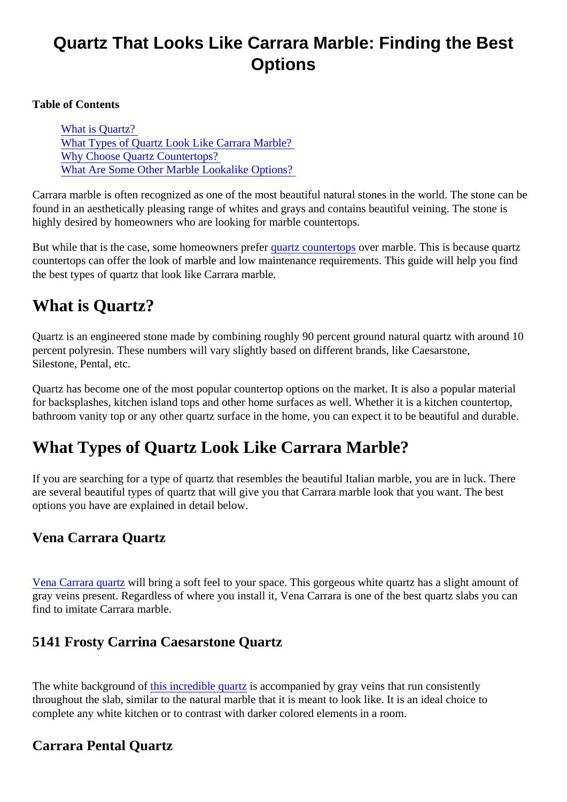# Quartz That Looks Like Carrara Marble: Finding the Best **Options**

Table of Contents

What is Quartz? What Types of Quartz Look Like Carrara Marble? [Why Choose Quartz Countertop](#page-1-0)s? [What Are Some Other Marble Lookalike Option](#page-1-0)s?

Carrara marble is often recognized as one of the most beautiful natural stones in the world. The stone can found in an aesthetically pleasing range of whites and grays and contains beautiful veining. The stone is highly desired by homeowners who are looking for marble countertops.

Butwhile that is the case, some homeowners prefertz countertops ver marble. This is because quartz countertops can offer the look of marble and low maintenance requirements. This guide will help you find the best types of quartz that look like Carrara marble.

# What is Quartz?

Quartz is an engineered stone made by combining roughly 90 percent ground natural quartz with around 1 percent polyresin. These numbers will vary slightly based on different brands, like Caesarstone, Silestone, Pental, etc.

Quartz has become one of the most popular countertop options on the market. It is also a popular materia for backsplashes, kitchen island tops and other home surfaces as well. Whether it is a kitchen countertop, bathroom vanity top or any other quartz surface in the home, you can expect it to be beautiful and durable.

### What Types of Quartz Look Like Carrara Marble?

If you are searching for a type of quartz that resembles the beautiful Italian marble, you are in luck. There are several beautiful types of quartz that will give you that Carrara marble look that you want. The best options you have are explained in detail below.

#### Vena Carrara Quartz

[Vena Carrara quar](https://marble.com/quartz-countertops/vena-carrara/1203)twill bring a soft feel to your space. This gorgeous white quartz has a slight amount of gray veins present. Regardless of where you install it, Vena Carrara is one of the best quartz slabs you can find to imitate Carrara marble.

#### 5141 Frosty Carrina Caesarstone Quartz

The white background ohis incredible quartis accompanied by gray veins that run consistently throughout the slab, similar to the natural marble that it is meant to look like. It is an ideal choice to complete any white kitchen or to contrast with darker colored elements in a room.

Carrara Pental Quartz